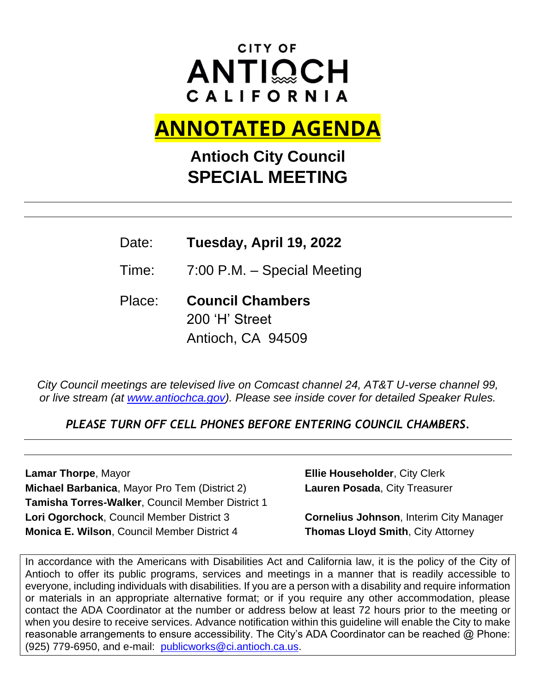# **CITY OF** ANTIQCH CALIFORNIA

# **ANNOTATED AGENDA**

# **Antioch City Council SPECIAL MEETING**

| Date:  | Tuesday, April 19, 2022     |  |
|--------|-----------------------------|--|
| Time:  | 7:00 P.M. - Special Meeting |  |
| Place: | <b>Council Chambers</b>     |  |
|        | 200 'H' Street              |  |
|        | Antioch, CA 94509           |  |

*City Council meetings are televised live on Comcast channel 24, AT&T U-verse channel 99, or live stream (at www.antiochca.gov). Please see inside cover for detailed Speaker Rules.*

*PLEASE TURN OFF CELL PHONES BEFORE ENTERING COUNCIL CHAMBERS.*

**Lamar Thorpe**, Mayor **Ellie Householder**, City Clerk **Michael Barbanica**, Mayor Pro Tem (District 2) **Lauren Posada**, City Treasurer **Tamisha Torres-Walker**, Council Member District 1 **Lori Ogorchock**, Council Member District 3 **Cornelius Johnson**, Interim City Manager **Monica E. Wilson**, Council Member District 4 **Thomas Lloyd Smith**, City Attorney

In accordance with the Americans with Disabilities Act and California law, it is the policy of the City of Antioch to offer its public programs, services and meetings in a manner that is readily accessible to everyone, including individuals with disabilities. If you are a person with a disability and require information or materials in an appropriate alternative format; or if you require any other accommodation, please contact the ADA Coordinator at the number or address below at least 72 hours prior to the meeting or when you desire to receive services. Advance notification within this guideline will enable the City to make reasonable arrangements to ensure accessibility. The City's ADA Coordinator can be reached @ Phone: (925) 779-6950, and e-mail: publicworks@ci.antioch.ca.us.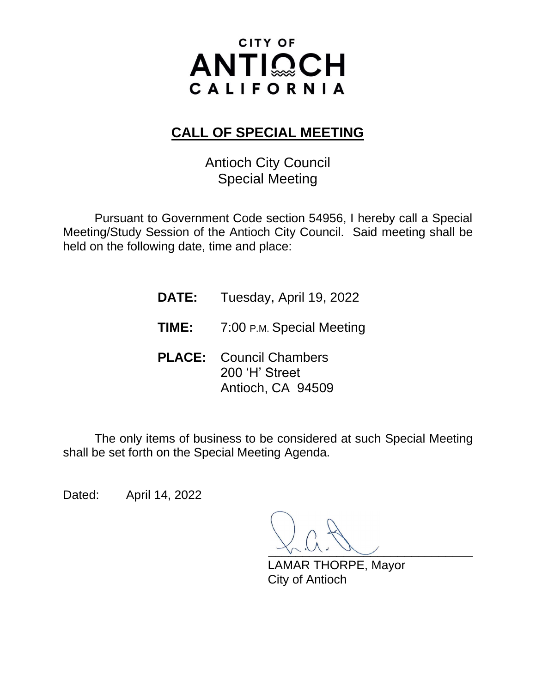# **CITY OF** ANTIQCH CALIFORNIA

## **CALL OF SPECIAL MEETING**

Antioch City Council Special Meeting

Pursuant to Government Code section 54956, I hereby call a Special Meeting/Study Session of the Antioch City Council. Said meeting shall be held on the following date, time and place:

**DATE:** Tuesday, April 19, 2022

- **TIME:** 7:00 P.M. Special Meeting
- **PLACE:** Council Chambers 200 'H' Street [A](http://www.antiochca.gov/)ntioch, CA 94509

The only items of business to be considered at such Special Meeting shall be set forth on the Special Meeting Agenda.

Dated: April 14, 2022

**\_\_\_\_\_\_\_\_\_\_\_\_\_\_\_\_\_\_\_\_\_\_\_\_\_\_\_\_\_\_**

LAMAR THORPE, Mayor City of Antioch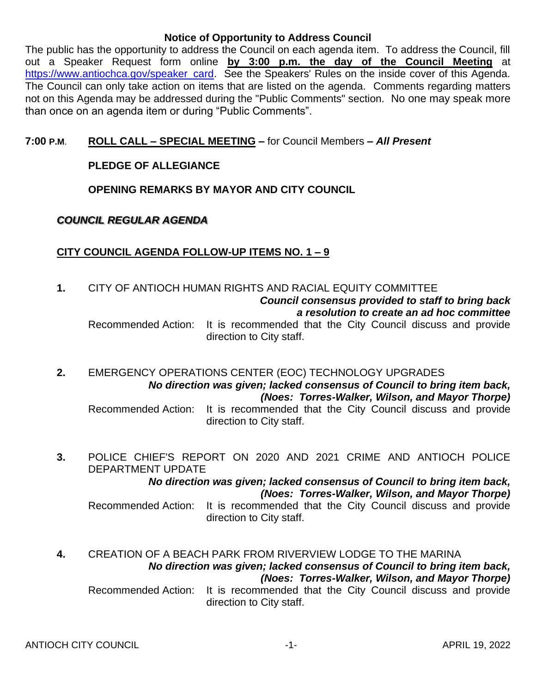#### **Notice of Opportunity to Address Council**

The public has the opportunity to address the Council on each agenda item. To address the Council, fill out a Speaker Request form online **by 3:00 p.m. the day of the Council Meeting** at https://www.antiochca.gov/speaker\_card. See the Speakers' Rules on the inside cover of this Agenda. The Council can only take action on items that are listed on the agenda. Comments regarding matters not on this Agenda may be addressed during the "Public Comments" section. No one may speak more than once on an agenda item or during "Public Comments".

#### **7:00 P.M**. **ROLL CALL – SPECIAL MEETING –** for Council Members *– All Present*

#### **PLEDGE OF ALLEGIANCE**

**OPENING REMARKS BY MAYOR AND CITY COUNCIL**

#### *CO[UNCIL REGULAR AGENDA](https://www.antiochca.gov/speakers)*

#### **CITY COUNCIL AGENDA FOLLOW-UP ITEMS NO. 1 – 9**

- **1.** CITY OF ANTIOCH HUMAN RIGHTS AND RACIAL EQUITY COMMITTEE *Council consensus provided to staff to bring back a resolution to create an ad hoc committee* Recommended Action: [It is recommended](https://www.antiochca.gov/instructions/zoom-raise-hand/) that the City Council discuss and provide direction to City staff.
- **2.** EMERGENCY OPERATIONS CENTER (EOC) TECHNOLOGY UPGRADES *No direction was given; lacked consensus of Council to bring item back, (Noes: Torres-Walker, Wilson, and Mayor Thorpe)* Recommended Action: It is recommended that the City Council discuss and provide direction to City staff.
- **3.** POLICE CHIEF'S REPORT ON 2020 AND 2021 CRIME AND ANTIOCH POLICE DEPARTMENT UPDATE

*No direction was given; lacked consensus of Council to bring item back, (Noes: Torres-Walker, Wilson, and Mayor Thorpe)* Recommended Action: It is recommended that the City Council discuss and provide direction to City s[taff.](https://www.antiochca.gov/speaker_card)

**4.** CREATION OF A BEACH PARK FROM RIVERVIEW LODGE TO THE MARINA *No direction was given; l[acked consensus of Counc](mailto:cityclerk@ci.antioch.ca.us)il to bring item back, (Noes: Torres-Walker, Wilson, and Mayor Thorpe)* Recommended Action: It is recommended that the City Council discuss and provide direction to City staff.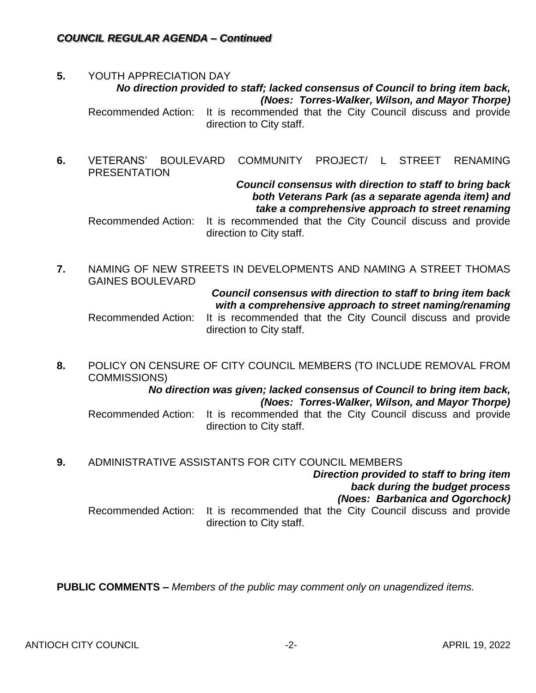#### **5.** [YOUTH APPRECIATION D](https://www.antiochca.gov/speaker_card)AY

#### *No direction provided to staff; lacked consensus of Council to bring item back, (Noes: Torres-Walker, Wilson, and Mayor Thorpe)*

Recommended Action: It is recommended that the City Council discuss and provide direction to City staff.

**6.** VETERANS' BOULEVARD COMMUNITY PROJECT/ L STREET RENAMING PRESENTATION

#### *Council consensus with direction to staff to bring back both Veterans Park (as a separate agenda item) and take a comprehensive approach to street renaming*

Recommended Action: It is recommended that the City Council discuss and provide direction to City staff.

**7.** NAMING OF NEW STREETS IN DEVELOPMENTS AND NAMING A STREET THOMAS GAINES BOULEVARD

#### *Council consensus with direction to staff to bring item back with a comprehensive approach to street naming/renaming*

Recommended Action: It is recommended that the City Council discuss and provide direction to City staff.

**8.** POLICY ON CENSURE OF CITY COUNCIL MEMBERS (TO INCLUDE REMOVAL FROM COMMISSIONS)

## *No direction was given; lacked consensus of Council to bring item back, (Noes: Torres-Walker, Wilson, and Mayor Thorpe)*

Recommended Action: It is recommended that the City Council discuss and provide direction to City staff.

**9.** ADMINISTRATIVE ASSISTANTS FOR CITY COUNCIL MEMBERS

*Direction provided to staff to bring item back during the budget process (Noes: Barbanica and Ogorchock)*

Recommended Action: It is recommended that the City Council discuss and provide direction to City staff.

**PUBLIC COMMENTS –** *Members of the public may comment only on unagendized items.*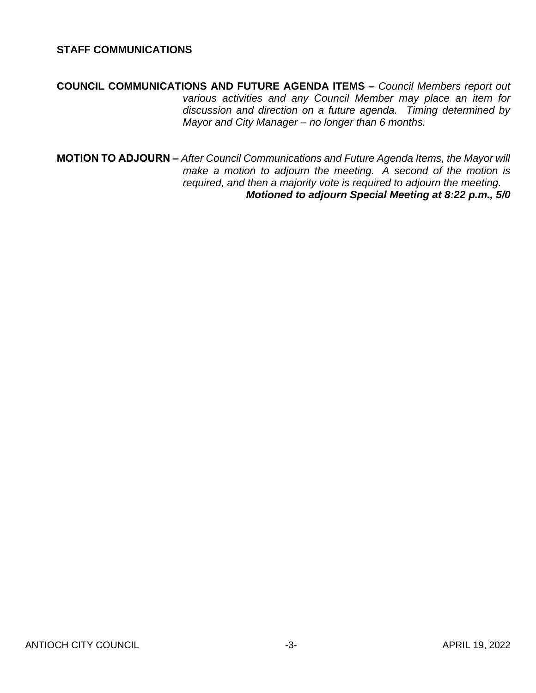#### **STAFF COMMUNICATIONS**

**COUNCIL COMMUNICATIONS AND FUTURE AGENDA ITEMS –** *Council Members report out various activities and any Council Member may place an item for discussion and direction on a future agenda. Timing determined by Mayor and City Manager – no longer than 6 months.*

**MOTION TO ADJOURN –** *After Council Communications and Future Agenda Items, the Mayor will make a motion to adjourn the meeting. A second of the motion is required, and then a majority vote is required to adjourn the meeting. Motioned to adjourn Special Meeting at 8:22 p.m., 5/0*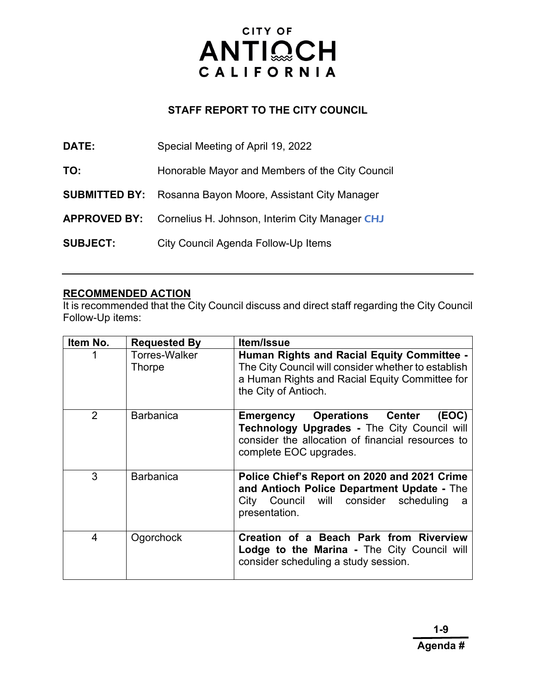# CITY OF ANTIQCH CALIFORNIA

### **STAFF REPORT TO THE CITY COUNCIL**

| DATE:                | Special Meeting of April 19, 2022               |  |
|----------------------|-------------------------------------------------|--|
| TO:                  | Honorable Mayor and Members of the City Council |  |
| <b>SUBMITTED BY:</b> | Rosanna Bayon Moore, Assistant City Manager     |  |
| <b>APPROVED BY:</b>  | Cornelius H. Johnson, Interim City Manager CHJ  |  |
| <b>SUBJECT:</b>      | City Council Agenda Follow-Up Items             |  |

### **RECOMMENDED ACTION**

It is recommended that the City Council discuss and direct staff regarding the City Council Follow-Up items:

| Item No. | <b>Requested By</b>     | Item/Issue                                                                                                                                                                          |
|----------|-------------------------|-------------------------------------------------------------------------------------------------------------------------------------------------------------------------------------|
|          | Torres-Walker<br>Thorpe | <b>Human Rights and Racial Equity Committee -</b><br>The City Council will consider whether to establish<br>a Human Rights and Racial Equity Committee for<br>the City of Antioch.  |
| 2        | <b>Barbanica</b>        | <b>Operations Center</b><br>(EOC)<br>Emergency<br><b>Technology Upgrades - The City Council will</b><br>consider the allocation of financial resources to<br>complete EOC upgrades. |
| 3        | <b>Barbanica</b>        | Police Chief's Report on 2020 and 2021 Crime<br>and Antioch Police Department Update - The<br>City Council will consider scheduling<br>а<br>presentation.                           |
| 4        | Ogorchock               | Creation of a Beach Park from Riverview<br><b>Lodge to the Marina - The City Council will</b><br>consider scheduling a study session.                                               |